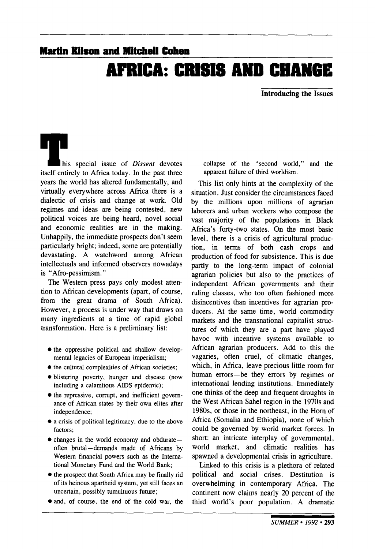## **Martin Kitson and Mitchell Cohen AFRICA: CRISIS AND CHANGE**

**Introducing the Issues**

his special issue of *Dissent* devotes itself entirely to Africa today. In the past three years the world has altered fundamentally, and virtually everywhere across Africa there is a dialectic of crisis and change at work. Old regimes and ideas are being contested, new political voices are being heard, novel social and economic realities are in the making. Unhappily, the immediate prospects don't seem particularly bright; indeed, some are potentially devastating. A watchword among African intellectuals and informed observers nowadays is "Afro-pessimism."

The Western press pays only modest attention to African developments (apart, of course, from the great drama of South Africa). However, a process is under way that draws on many ingredients at a time of rapid global transformation. Here is a preliminary list:

- the oppressive political and shallow developmental legacies of European imperialism;
- the cultural complexities of African societies;
- blistering poverty, hunger and disease (now including a calamitous AIDS epidemic);
- $\bullet$  the repressive, corrupt, and inefficient governance of African states by their own elites after independence;
- a crisis of political legitimacy, due to the above factors;
- changes in the world economy and obdurate often brutal—demands made of Africans by Western financial powers such as the International Monetary Fund and the World Bank;
- the prospect that South Africa may be finally rid of its heinous apartheid system, yet still faces an uncertain, possibly tumultuous future;
- and, of course, the end of the cold war, the

collapse of the "second world," and the apparent failure of third worldism.

This list only hints at the complexity of the situation. Just consider the circumstances faced by the millions upon millions of agrarian laborers and urban workers who compose the vast majority of the populations in Black Africa's forty-two states. On the most basic level, there is a crisis of agricultural production, in terms of both cash crops and production of food for subsistence. This is due partly to the long-term impact of colonial agrarian policies but also to the practices of independent African governments and their ruling classes, who too often fashioned more disincentives than incentives for agrarian producers. At the same time, world commodity markets and the transnational capitalist structures of which they are a part have played havoc with incentive systems available to African agrarian producers. Add to this the vagaries, often cruel, of climatic changes, which, in Africa, leave precious little room for human errors—be they errors by regimes or international lending institutions. Immediately one thinks of the deep and frequent droughts in the West African Sahel region in the 1970s and 1980s, or those in the northeast, in the Horn of Africa (Somalia and Ethiopia), none of which could be governed by world market forces. In short: an intricate interplay of governmental, world market, and climatic realities has spawned a developmental crisis in agriculture.

Linked to this crisis is a plethora of related political and social crises. Destitution is overwhelming in contemporary Africa. The continent now claims nearly 20 percent of the third world's poor population. A dramatic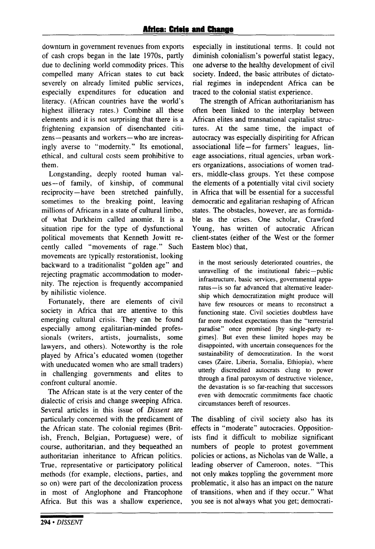downturn in government revenues from exports of cash crops began in the late 1970s, partly due to declining world commodity prices. This compelled many African states to cut back severely on already limited public services, especially expenditures for education and literacy. (African countries have the world's highest illiteracy rates.) Combine all these elements and it is not surprising that there is a frightening expansion of disenchanted citizens—peasants and workers—who are increasingly averse to "modernity." Its emotional, ethical, and cultural costs seem prohibitive to them.

Longstanding, deeply rooted human values—of family, of kinship, of communal reciprocity—have been stretched painfully, sometimes to the breaking point, leaving millions of Africans in a state of cultural limbo, of what Durkheim called anomie. It is a situation ripe for the type of dysfunctional political movements that Kenneth Jowitt recently called "movements of rage." Such movements are typically restorationist, looking backward to a traditionalist "golden age" and rejecting pragmatic accommodation to modernity. The rejection is frequently accompanied by nihilistic violence.

Fortunately, there are elements of civil society in Africa that are attentive to this emerging cultural crisis. They can be found especially among egalitarian-minded professionals (writers, artists, journalists, some lawyers, and others). Noteworthy is the role played by Africa's educated women (together with uneducated women who are small traders) in challenging governments and elites to confront cultural anomie.

The African state is at the very center of the dialectic of crisis and change sweeping Africa. Several articles in this issue of *Dissent* are particularly concerned with the predicament of the African state. The colonial regimes (British, French, Belgian, Portuguese) were, of course, authoritarian, and they bequeathed an authoritarian inheritance to African politics. True, representative or participatory political methods (for example, elections, parties, and so on) were part of the decolonization process in most of Anglophone and Francophone Africa. But this was a shallow experience, especially in institutional terms. It could not diminish colonialism's powerful statist legacy, one adverse to the healthy development of civil society. Indeed, the basic attributes of dictatorial regimes in independent Africa can be traced to the colonial statist experience.

The strength of African authoritarianism has often been linked to the interplay between African elites and transnational capitalist structures. At the same time, the impact of autocracy was especially dispiriting for African associational life—for farmers' leagues, lineage associations, ritual agencies, urban workers organizations, associations of women traders, middle-class groups. Yet these compose the elements of a potentially vital civil society in Africa that will be essential for a successful democratic and egalitarian reshaping of African states. The obstacles, however, are as formidable as the crises. One scholar, Crawford Young, has written of autocratic African client-states (either of the West or the former Eastern bloc) that,

in the most seriously deteriorated countries, the unravelling of the institutional fabric—public infrastructure, basic services, governmental apparatus—is so far advanced that alternative leadership which democratization might produce will have few resources or means to reconstruct a functioning state. Civil societies doubtless have far more modest expectations than the "terrestrial paradise" once promised [by single-party regimes]. But even these limited hopes may be disappointed, with uncertain consequences for the sustainability of democratization. In the worst cases (Zaire, Liberia, Somalia, Ethiopia), where utterly discredited autocrats clung to power through a final paroxysm of destructive violence, the devastation is so far-reaching that successors even with democratic commitments face chaotic circumstances bereft of resources.

The disabling of civil society also has its effects in "moderate" autocracies. Oppositionists find it difficult to mobilize significant numbers of people to protest government policies or actions, as Nicholas van de Walle, a leading observer of Cameroon, notes. "This not only makes toppling the government more problematic, it also has an impact on the nature of transitions, when and if they occur." What you see is not always what you get; democrati